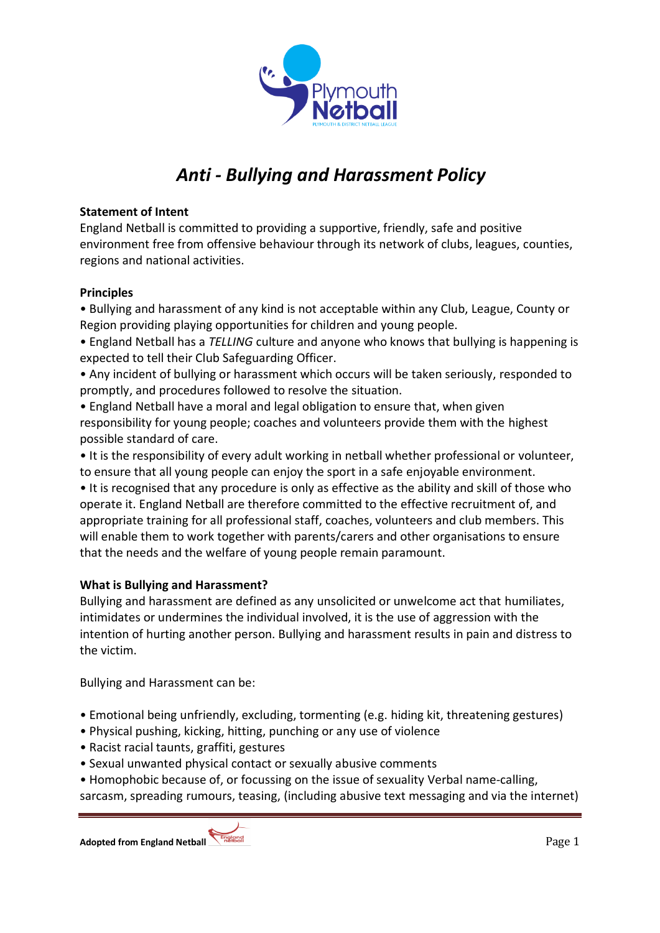

# *Anti - Bullying and Harassment Policy*

## **Statement of Intent**

England Netball is committed to providing a supportive, friendly, safe and positive environment free from offensive behaviour through its network of clubs, leagues, counties, regions and national activities.

### **Principles**

• Bullying and harassment of any kind is not acceptable within any Club, League, County or Region providing playing opportunities for children and young people.

• England Netball has a *TELLING* culture and anyone who knows that bullying is happening is expected to tell their Club Safeguarding Officer.

• Any incident of bullying or harassment which occurs will be taken seriously, responded to promptly, and procedures followed to resolve the situation.

• England Netball have a moral and legal obligation to ensure that, when given responsibility for young people; coaches and volunteers provide them with the highest possible standard of care.

• It is the responsibility of every adult working in netball whether professional or volunteer, to ensure that all young people can enjoy the sport in a safe enjoyable environment.

• It is recognised that any procedure is only as effective as the ability and skill of those who operate it. England Netball are therefore committed to the effective recruitment of, and appropriate training for all professional staff, coaches, volunteers and club members. This will enable them to work together with parents/carers and other organisations to ensure that the needs and the welfare of young people remain paramount.

## **What is Bullying and Harassment?**

Bullying and harassment are defined as any unsolicited or unwelcome act that humiliates, intimidates or undermines the individual involved, it is the use of aggression with the intention of hurting another person. Bullying and harassment results in pain and distress to the victim.

Bullying and Harassment can be:

- Emotional being unfriendly, excluding, tormenting (e.g. hiding kit, threatening gestures)
- Physical pushing, kicking, hitting, punching or any use of violence
- Racist racial taunts, graffiti, gestures
- Sexual unwanted physical contact or sexually abusive comments
- Homophobic because of, or focussing on the issue of sexuality Verbal name-calling,

sarcasm, spreading rumours, teasing, (including abusive text messaging and via the internet)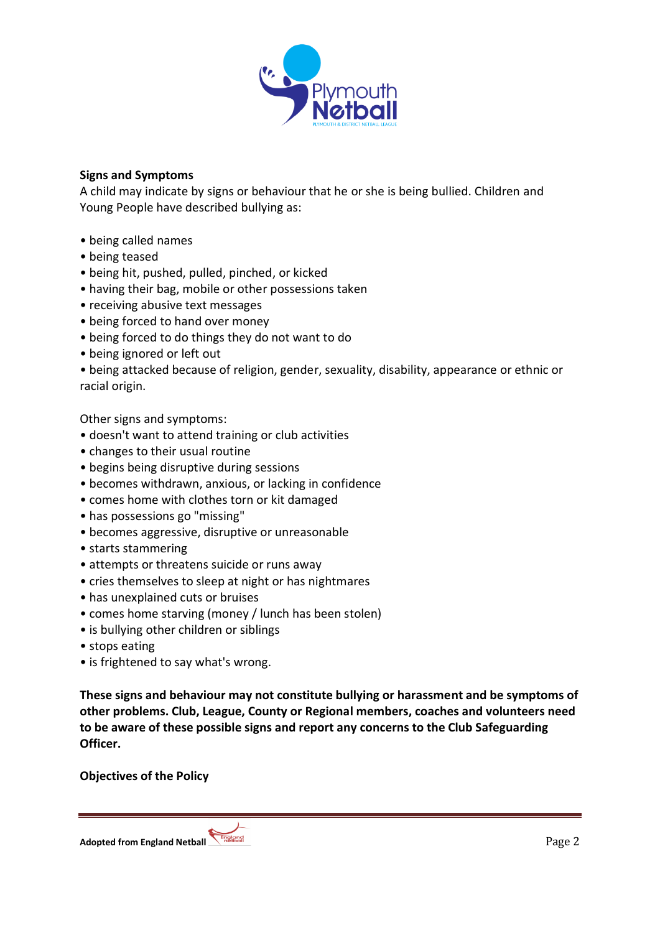

### **Signs and Symptoms**

A child may indicate by signs or behaviour that he or she is being bullied. Children and Young People have described bullying as:

- being called names
- being teased
- being hit, pushed, pulled, pinched, or kicked
- having their bag, mobile or other possessions taken
- receiving abusive text messages
- being forced to hand over money
- being forced to do things they do not want to do
- being ignored or left out
- being attacked because of religion, gender, sexuality, disability, appearance or ethnic or racial origin.

Other signs and symptoms:

- doesn't want to attend training or club activities
- changes to their usual routine
- begins being disruptive during sessions
- becomes withdrawn, anxious, or lacking in confidence
- comes home with clothes torn or kit damaged
- has possessions go "missing"
- becomes aggressive, disruptive or unreasonable
- starts stammering
- attempts or threatens suicide or runs away
- cries themselves to sleep at night or has nightmares
- has unexplained cuts or bruises
- comes home starving (money / lunch has been stolen)
- is bullying other children or siblings
- stops eating
- is frightened to say what's wrong.

**These signs and behaviour may not constitute bullying or harassment and be symptoms of other problems. Club, League, County or Regional members, coaches and volunteers need to be aware of these possible signs and report any concerns to the Club Safeguarding Officer.**

**Objectives of the Policy**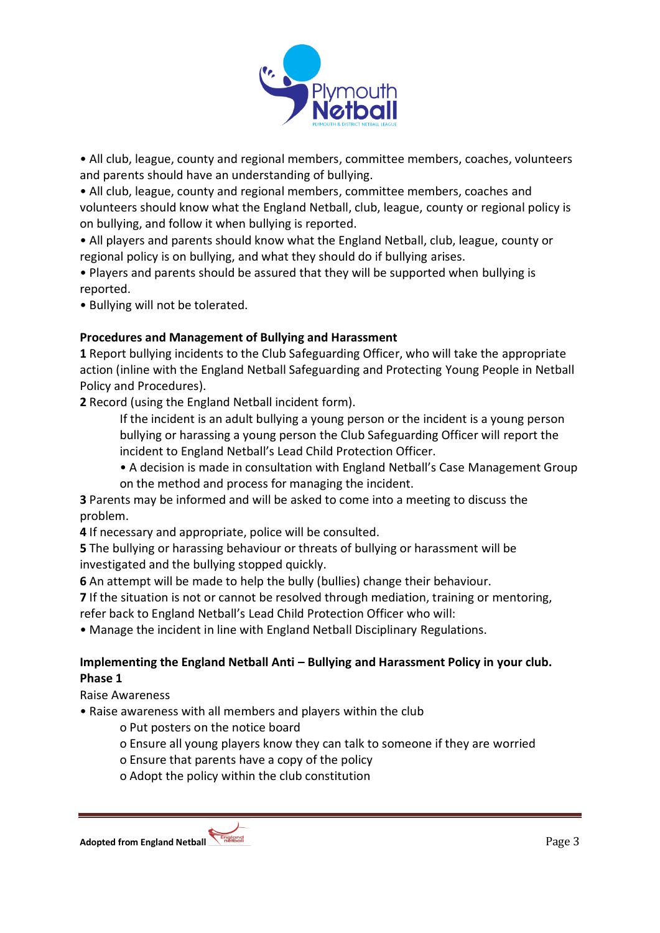

• All club, league, county and regional members, committee members, coaches, volunteers and parents should have an understanding of bullying.

• All club, league, county and regional members, committee members, coaches and volunteers should know what the England Netball, club, league, county or regional policy is on bullying, and follow it when bullying is reported.

• All players and parents should know what the England Netball, club, league, county or regional policy is on bullying, and what they should do if bullying arises.

• Players and parents should be assured that they will be supported when bullying is reported.

• Bullying will not be tolerated.

# **Procedures and Management of Bullying and Harassment**

**1** Report bullying incidents to the Club Safeguarding Officer, who will take the appropriate action (inline with the England Netball Safeguarding and Protecting Young People in Netball Policy and Procedures).

**2** Record (using the England Netball incident form).

If the incident is an adult bullying a young person or the incident is a young person bullying or harassing a young person the Club Safeguarding Officer will report the incident to England Netball's Lead Child Protection Officer.

• A decision is made in consultation with England Netball's Case Management Group on the method and process for managing the incident.

**3** Parents may be informed and will be asked to come into a meeting to discuss the problem.

**4** If necessary and appropriate, police will be consulted.

**5** The bullying or harassing behaviour or threats of bullying or harassment will be investigated and the bullying stopped quickly.

**6** An attempt will be made to help the bully (bullies) change their behaviour.

**7** If the situation is not or cannot be resolved through mediation, training or mentoring, refer back to England Netball's Lead Child Protection Officer who will:

• Manage the incident in line with England Netball Disciplinary Regulations.

# **Implementing the England Netball Anti – Bullying and Harassment Policy in your club. Phase 1**

Raise Awareness

• Raise awareness with all members and players within the club

o Put posters on the notice board

o Ensure all young players know they can talk to someone if they are worried

o Ensure that parents have a copy of the policy

o Adopt the policy within the club constitution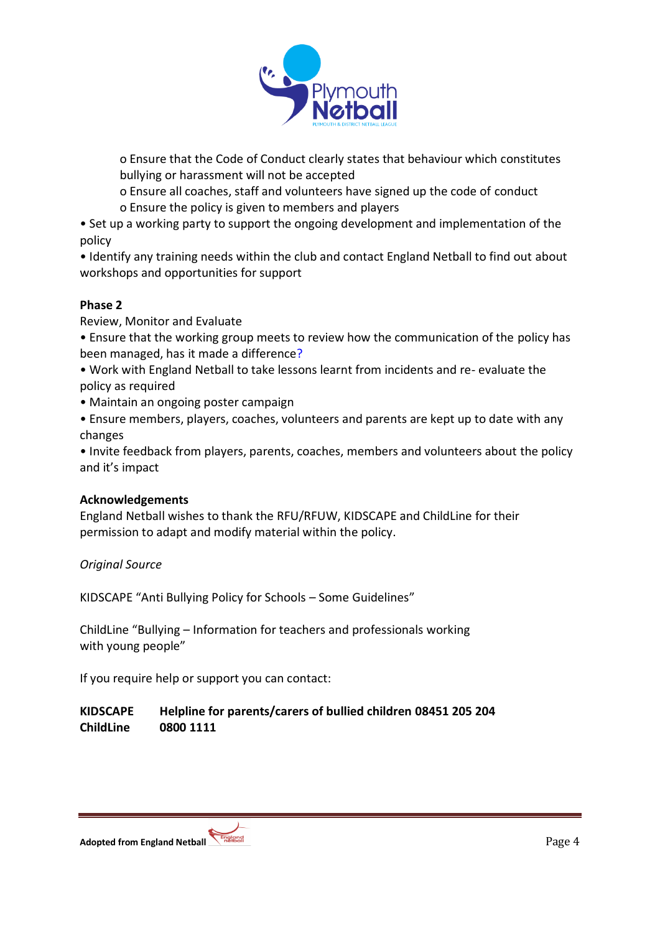

o Ensure that the Code of Conduct clearly states that behaviour which constitutes bullying or harassment will not be accepted

o Ensure all coaches, staff and volunteers have signed up the code of conduct o Ensure the policy is given to members and players

• Set up a working party to support the ongoing development and implementation of the policy

• Identify any training needs within the club and contact England Netball to find out about workshops and opportunities for support

# **Phase 2**

Review, Monitor and Evaluate

• Ensure that the working group meets to review how the communication of the policy has been managed, has it made a difference?

- Work with England Netball to take lessons learnt from incidents and re- evaluate the policy as required
- Maintain an ongoing poster campaign
- Ensure members, players, coaches, volunteers and parents are kept up to date with any changes

• Invite feedback from players, parents, coaches, members and volunteers about the policy and it's impact

## **Acknowledgements**

England Netball wishes to thank the RFU/RFUW, KIDSCAPE and ChildLine for their permission to adapt and modify material within the policy.

*Original Source*

KIDSCAPE "Anti Bullying Policy for Schools – Some Guidelines"

ChildLine "Bullying – Information for teachers and professionals working with young people"

If you require help or support you can contact:

# **KIDSCAPE Helpline for parents/carers of bullied children 08451 205 204 ChildLine 0800 1111**